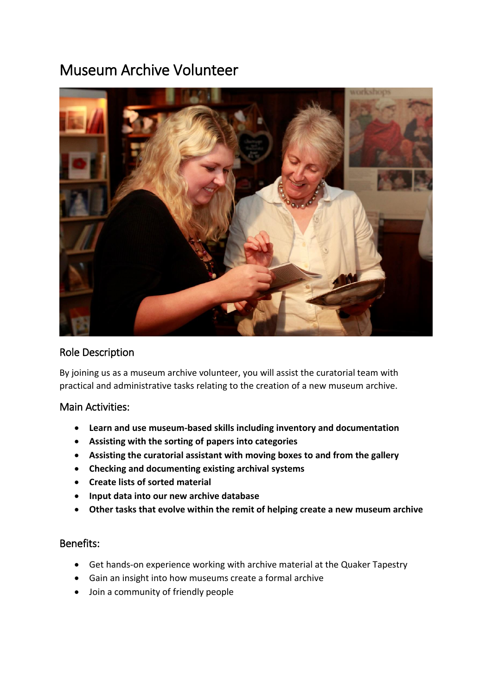# Museum Archive Volunteer



### Role Description

By joining us as a museum archive volunteer, you will assist the curatorial team with practical and administrative tasks relating to the creation of a new museum archive.

### Main Activities:

- **Learn and use museum-based skills including inventory and documentation**
- **Assisting with the sorting of papers into categories**
- **Assisting the curatorial assistant with moving boxes to and from the gallery**
- **Checking and documenting existing archival systems**
- **Create lists of sorted material**
- **Input data into our new archive database**
- **Other tasks that evolve within the remit of helping create a new museum archive**

## Benefits:

- Get hands-on experience working with archive material at the Quaker Tapestry
- Gain an insight into how museums create a formal archive
- Join a community of friendly people